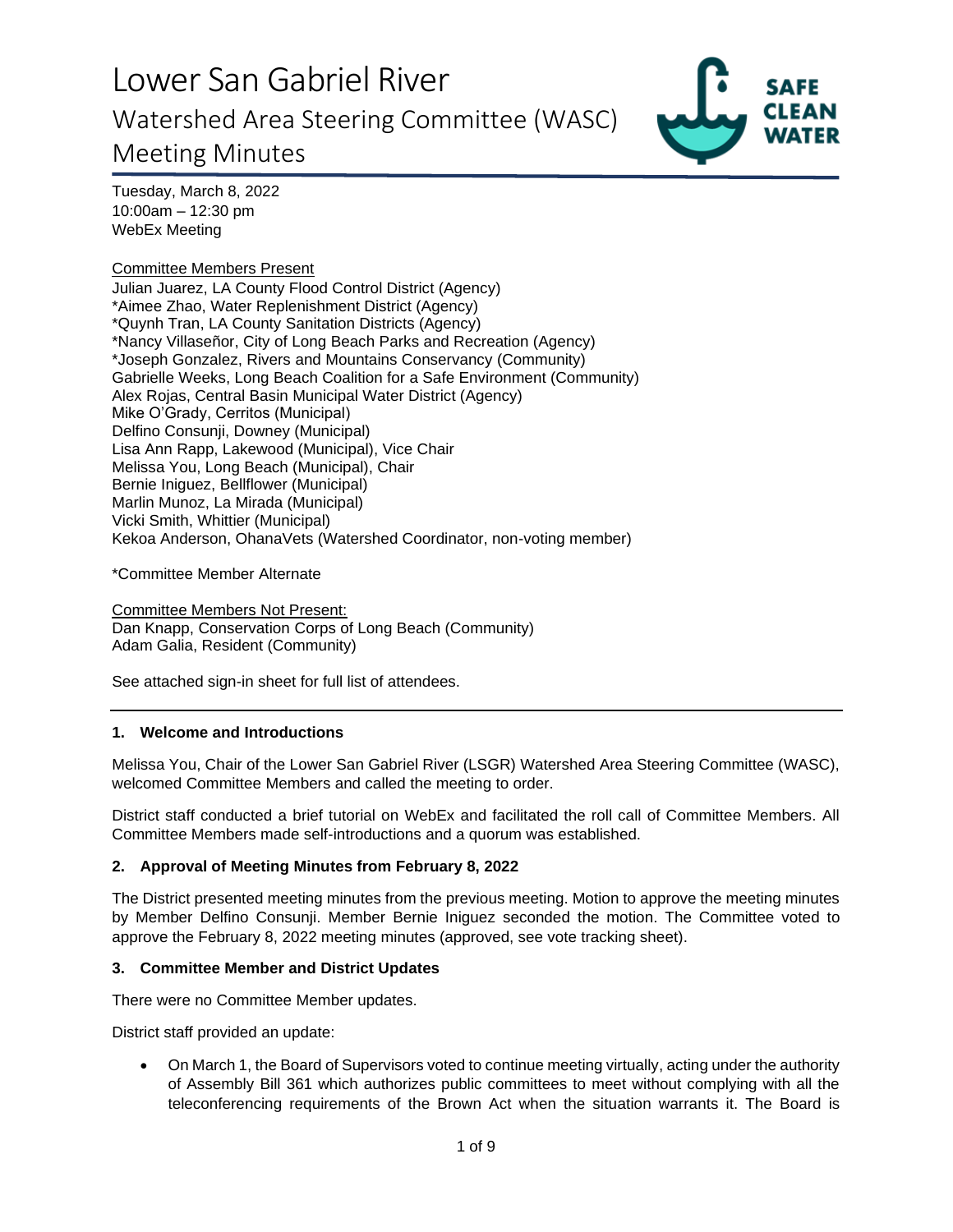# Lower San Gabriel River Lower San Gabriel River Watershed Area Steering Committee (WASC) **1994** Meeting Minutes



Tuesday, March 8, 2022 Tuesday, March 8, 2022 10:00am — 12:30 pm 10:00am – 12:30 pm WebEx Meeting WebEx Meeting

### Committee Members Present Committee Members Present

Julian Juarez, LA County Flood Control District (Agency) Julian Juarez, LA County Flood Control District (Agency) \*Aimee Zhao, Water Replenishment District (Agency) \*Aimee Zhao, Water Replenishment District (Agency) \*Quynh Tran, LA County Sanitation Districts (Agency) \*Quynh Tran, LA County Sanitation Districts (Agency) \*Nancy Villaserior, City of Long Beach Parks and Recreation (Agency) \*Nancy Villaseñor, City of Long Beach Parks and Recreation (Agency) \*Joseph Gonzalez, Rivers and Mountains Conservancy (Community) \*Joseph Gonzalez, Rivers and Mountains Conservancy (Community) Gabrielle Weeks, Long Beach Coalition for a Safe Environment (Community) Gabrielle Weeks, Long Beach Coalition for <sup>a</sup> Safe Environment (Community) Alex Rojas, Central Basin Municipal Water District (Agency) Alex Rojas, Central Basin Municipal Water District (Agency) Mike O'Grady, Cerritos (Municipal) Mike O'Grady, Cerritos (Municipal) Delfino Consunji, Downey (Municipal) Delfino Consunji, Downey (Municipal)<br>Lisa Ann Rapp, Lakewood (Municipal), Vice Chair Melissa You, Long Beach (Municipal), Chair Melissa You, Long Beach (Municipal), Chair Bernie Iniguez, Bellflower (Municipal) Bernie Iniguez, Bellflower (Municipal) Marlin Munoz, La Mirada (Municipal) Marlin Munoz, La Mirada (Municipal) Vicki Smith, Whittier (Municipal) Vicki Smith, Whittier (Municipal) Kekoa Anderson, OhanaVets (Watershed Coordinator, non-voting member) Kekoa Anderson, OhanaVets (Watershed Coordinator, non-voting member)

\*Committee Member Alternate \*Committee Member Alternate

Committee Members Not Present: Committee Members Not Present: Dan Knapp, Conservation Corps of Long Beach (Community) Dan Knapp, Conservation Corps of Long Beach (Community) Adam Galia, Resident (Community) Adam Galia, Resident (Community)

See attached sign-in sheet for full list of attendees. See attached sign-in sheet for full list of attendees.

### **1. Welcome and Introductions 1. Welcome and Introductions**

Melissa You, Chair of the Lower San Gabriel River (LSGR) Watershed Area Steering Committee (WASC),<br>welcomed Committee Members and called the meeting to order. welcomed Committee Members and called the meeting to order.

District staff conducted a brief tutorial on WebEx and facilitated the roll call of Committee Members. All District staff conducted a brief tutorial on WebEx and facilitated the roll call of Committee Members. All Committee Members made self-introductions and a quorum was established. Committee Members made self-introductions and a quorum was established.

### **2. Approval of Meeting Minutes from February 8, 2022 2. Approval of Meeting Minutes from February 8, 2022**

The District presented meeting minutes from the previous meeting. Motion to approve the meeting minutes The District presented meeting minutes from the previous meeting. Motion to approve the meeting minutes<br>by Member Delfino Consunji. Member Bernie Iniguez seconded the motion. The Committee voted to approve the February 8, 2022 meeting minutes (approved, see vote tracking sheet). approve the February 8, 2022 meeting minutes (approved, see vote tracking sheet).

### **3. Committee Member and District Updates 3. Committee Member and District Updates**

There were no Committee Member updates. There were no Committee Member updates.

District staff provided an update: District staff provided an update:

• On March 1, the Board of Supervisors voted to continue meeting virtually, acting under the authority • On March 1, the Board of Supervisors voted to continue meeting virtually, acting under the authority of Assembly Bill 361 which authorizes public committees to meet without complying with all the of Assembly Bill 361 which authorizes public committees to meet without complying with all the teleconferencing requirements of the Brown Act when the situation warrants it. The Board is teleconferencing requirements of the Brown Act when the situation warrants it. The Board is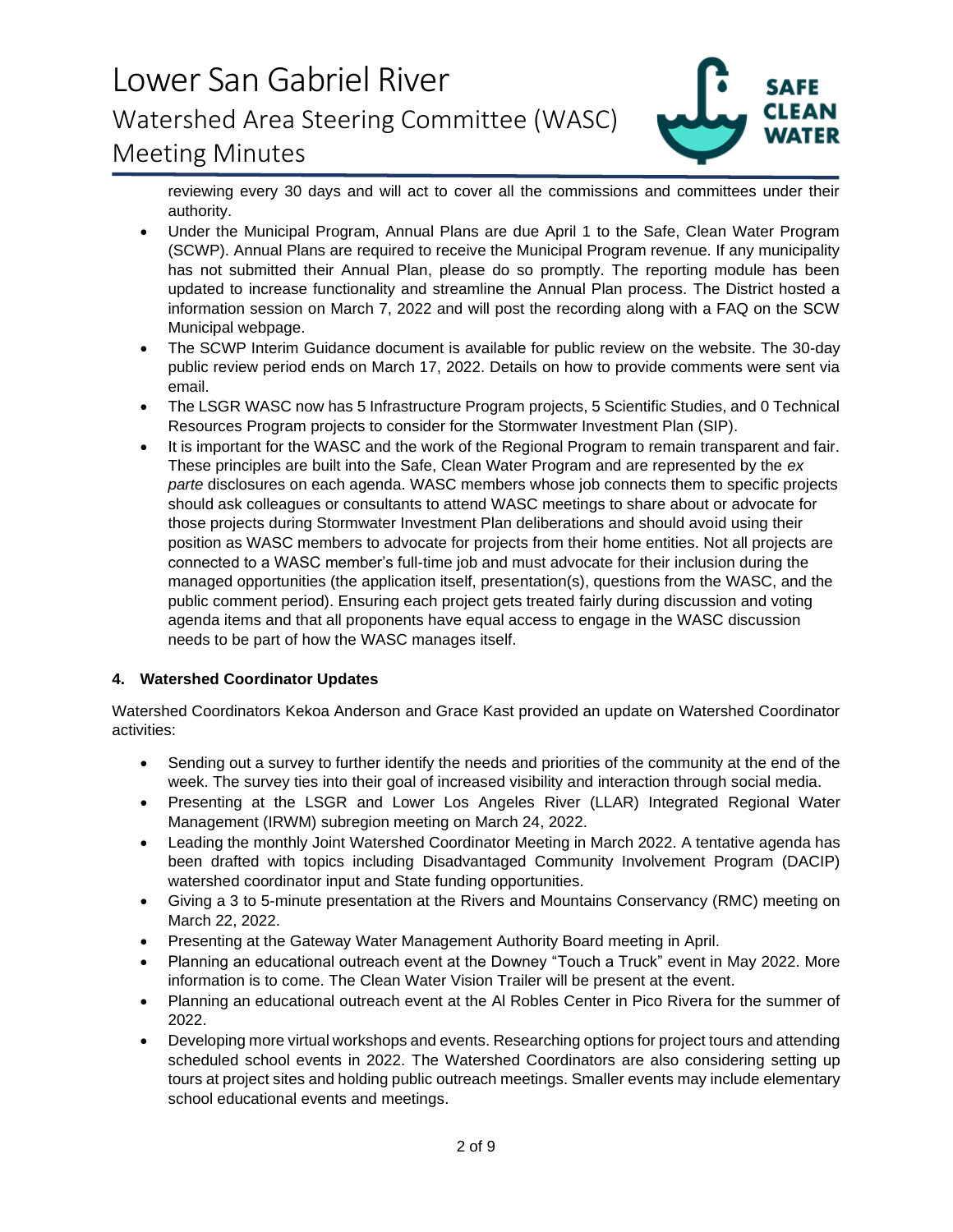

**reviewing every 30 days and will act to cover all the commissions and committees under their**  reviewing every 30 days and will act to cover all the commissions and committees under their **authority.**  authority.

- **Under the Municipal Program, Annual Plans are due April 1 to the Safe, Clean Water Program**  Under the Municipal Program, Annual Plans are due April 1 to the Safe, Clean Water Program **(SCWP). Annual Plans are required to receive the Municipal Program revenue. If any municipality**  (SCWP). Annual Plans are required to receive the Municipal Program revenue. If any municipality **has not submitted their Annual Plan, please do so promptly. The reporting module has been**  has not submitted their Annual Plan, please do so promptly. The reporting module has been<br>updated to increase functionality and streamline the Annual Plan process. The District hosted a **information session on March 7, 2022 and will post the recording along with a FAQ on the SCW**  information session on March 7, 2022 and will post the recording along with a FAQ on the SCW Municipal webpage. **Municipal webpage.**
- **The SCWP Interim Guidance document is available for public review on the website. The 30-day**  The SCWP Interim Guidance document is available for public review on the website. The 30-day **public review period ends on March 17, 2022. Details on how to provide comments were sent via**  public review period ends on March 17, 2022. Details on how to provide comments were sent via **email.**  email.
- **The LSGR WASC now has 5 Infrastructure Program projects, 5 Scientific Studies, and 0 Technical**  The LSGR WASC now has 5 Infrastructure Program projects, 5 Scientific Studies, and 0 Technical **Resources Program projects to consider for the Stormwater Investment Plan (SIP).**  Resources Program projects to consider for the Stormwater Investment Plan (SIP).
- **It is important for the WASC and the work of the Regional Program to remain transparent and fair.**  It is important for the WASC and the work of the Regional Program to remain transparent and fair. These principles are built into the Safe, Clean Water Program and are represented by the ex parte **disclosures on each agenda. WASC members whose job connects them to specific projects should ask colleagues or consultants to attend WASC meetings to share about or advocate for those projects during Stormwater Investment Plan deliberations and should avoid using their position as WASC members to advocate for projects from their home entities. Not all projects are connected to a WASC member's full-time job and must advocate for their inclusion during the**  connected to a WASC member's full-time job and must advocate for their inclusion during the<br>managed opportunities (the application itself, presentation(s), questions from the WASC, and the public comment period). Ensuring each project gets treated fairly during discussion and voting<br>agenda items and that all proponents have equal access to engage in the WASC discussion<br>needs to be part of how the WASC manage **agenda items and that all proponents have equal access to engage in the WASC discussion needs to be part of how the WASC manages itself.**  These principles are built into the Safe, Clean Water Program and are represented by the ex<br>parte disclosures on each agenda. WASC members whose job connects them to specific projects<br>should ask colleagues or consultants t

### **4. Watershed Coordinator Updates 4. Watershed Coordinator Updates**

Watershed Coordinators Kekoa Anderson and Grace Kast provided an update on Watershed Coordinator<br>activities: **activities:** 

- **Sending out a survey to further identify the needs and priorities of the community at the end of the**  • Sending out a survey to further identify the needs and priorities of the community at the end of the week. The survey ties into their goal of increased visibility and interaction through social media.
- Presenting at the LSGR and Lower Los Angeles River (LLAR) Integrated Regional Water Management (IRWM) subregion meeting on March 24, 2022. **Management (IRWM) subregion meeting on March 24, 2022.**
- Leading the monthly Joint Watershed Coordinator Meeting in March 2022. A tentative agenda has been drafted with topics including Disadvantaged Community Involvement Program (DACIP) **been drafted with topics including Disadvantaged Community Involvement Program (DACIP) watershed coordinator input and State funding opportunities.**  watershed coordinator input and State funding opportunities.
- **Giving a 3 to 5-minute presentation at the Rivers and Mountains Conservancy (RMC) meeting on**  Giving a 3 to 5-minute presentation at the Rivers and Mountains Conservancy (RMC) meeting on March 22, 2022. **March 22, 2022.**
- **Presenting at the Gateway Water Management Authority Board meeting in April.**  Presenting at the Gateway Water Management Authority Board meeting in April.
- Planning an educational outreach event at the Downey "Touch a Truck" event in May 2022. More information is to come. The Clean Water Vision Trailer will be present at the event. **information is to come. The Clean Water Vision Trailer will be present at the event.**
- Planning an educational outreach event at the Al Robles Center in Pico Rivera for the summer of 2022. **2022.**
- **Developing more virtual workshops and events. Researching options for project tours and attending**  Developing more virtual workshops and events. Researching options for project tours and attending **scheduled school events in 2022. The Watershed Coordinators are also considering setting up tours at project sites and holding public outreach meetings. Smaller events may include elementary school educational events and meetings.**  scheduled school events in 2022. The Watershed Coordinators are also considering setting up<br>tours at project sites and holding public outreach meetings. Smaller events may include elementary<br>school educational events and m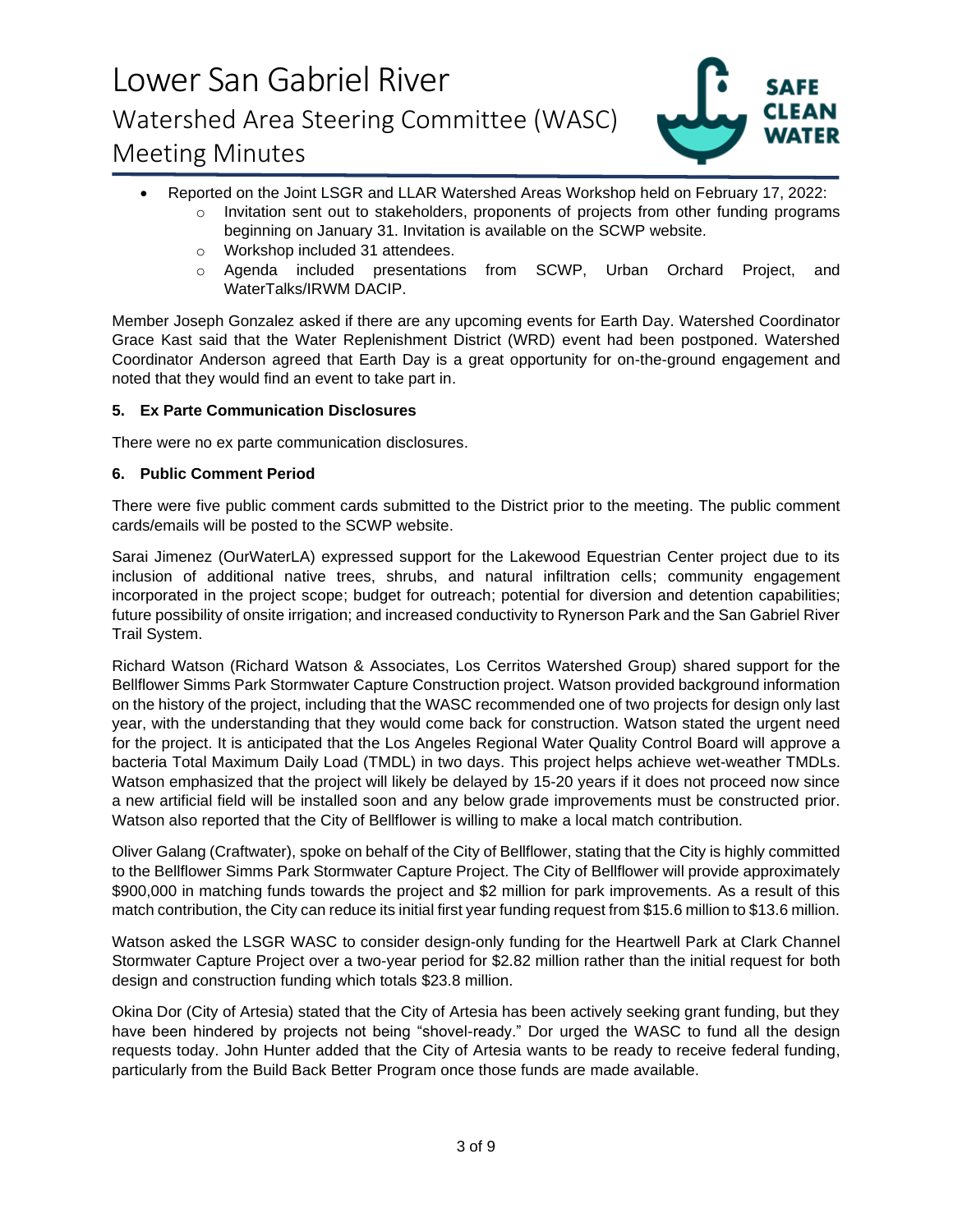

- Reported on the Joint LSGR and LLAR Watershed Areas Workshop held on February 17, 2022: Reported on the Joint LSGR and LLAR Watershed Areas Workshop held on February 17, 2022:
	- o Invitation sent out to stakeholders, proponents of projects from other funding programs beginning on January 31. Invitation is available on the SCWP website. beginning on January 31. Invitation is available on the SCWP website.
	- o Workshop included 31 attendees. o Workshop included 31 attendees.
- o Agenda included presentations from SCWP, Urban Orchard Project, and WaterTalks/IRWM DACIP. ○ Agenda included presentations from SCWP, Urban Orchard Project, and<br>WaterTalks/IRWM DACIP.<br>Member Joseph Gonzalez asked if there are any upcoming events for Earth Day. Watershed Coordinator

Grace Kast said that the Water Replenishment District (WRD) event had been postponed. Watershed Coordinator Anderson agreed that Earth Day is a great opportunity for on-the-ground engagement and noted that they would find an event to take part in. Grace Kast said that the Water Replenishment District (WRD) event had been postponed. Watershed<br>Coordinator Anderson agreed that Earth Day is a great opportunity for on-the-ground engagement and<br>noted that they would find

### **5. Ex Parte Communication Disclosures 5. Ex Parte Communication Disclosures**

There were no ex parte communication disclosures. There were no ex parte communication disclosures.

### **6. Public Comment Period 6. Public Comment Period**

There were five public comment cards submitted to the District prior to the meeting. The public comment There were five public comment cards submitted to the District prior to the meeting. The public comment cards/emails will be posted to the SCWP website.

cards/emails will be posted to the SCWP website.<br>Sarai Jimenez (OurWaterLA) expressed support for the Lakewood Equestrian Center project due to its inclusion of additional native trees, shrubs, and natural infiltration cells; community engagement inclusion of additional native trees, shrubs, and natural infiltration cells; community engagement<br>incorporated in the project scope; budget for outreach; potential for diversion and detention capabilities; future possibility of onsite irrigation; and increased conductivity to Rynerson Park and the San Gabriel River Trail System.

Richard Watson (Richard Watson & Associates, Los Cerritos Watershed Group) shared support for the Bellflower Simms Park Stormwater Capture Construction project. Watson provided background information on the history of the project, including that the WASC recommended one of two projects for design only last year, with the understanding that they would come back for construction. Watson stated the urgent need for the project. It is anticipated that the Los Angeles Regional Water Quality Control Board will approve a bacteria Total Maximum Daily Load (TMDL) in two days. This project helps achieve wet-weather TMDLs. Watson emphasized that the project will likely be delayed by 15-20 years if it does not proceed now since a new artificial field will be installed soon and any below grade improvements must be constructed prior. Watson also reported that the City of Bellflower is willing to make a local match contribution. future possibility of onsite irrigation; and increased conductivity to Rynerson Park and the San Gabriel River<br>Trail System.<br>Richard Watson (Richard Watson & Associates, Los Cerritos Watershed Group) shared support for the year, with the understanding that they would come back for construction. Watson stated the urgent need<br>for the project. It is anticipated that the Los Angeles Regional Water Quality Control Board will approve a<br>bacteria To

Watson also reported that the City of Bellflower is willing to make a local match contribution.<br>Oliver Galang (Craftwater), spoke on behalf of the City of Bellflower, stating that the City is highly committed to the Bellflower Simms Park Stormwater Capture Project. The City of Bellflower will provide approximately \$900,000 in matching funds towards the project and \$2 million for park improvements. As a result of this match contribution, the City can reduce its initial first year funding request from \$15.6 million to \$13.6 million. to the Bellflower Simms Park Stormwater Capture Project. The City of Bellflower will provide approximately<br>\$900,000 in matching funds towards the project and \$2 million for park improvements. As a result of this<br>match cont

Watson asked the LSGR WASC to consider design-only funding for the Heartwell Park at Clark Channel<br>Stormwater Capture Project over a two-year period for \$2.82 million rather than the initial request for both Stormwater Capture Project over a two-year period for \$2.82 million rather than the initial request for both design and construction funding which totals \$23.8 million.

Okina Dor (City of Artesia) stated that the City of Artesia has been actively seeking grant funding, but they have been hindered by projects not being "shovel-ready." Dor urged the WASC to fund all the design requests today. John Hunter added that the City of Artesia wants to be ready to receive federal funding, particularly from the Build Back Better Program once those funds are made available. design and construction funding which totals \$23.8 million.<br>Okina Dor (City of Artesia) stated that the City of Artesia has been actively seeking grant funding, but they<br>have been hindered by projects not being "shovel-rea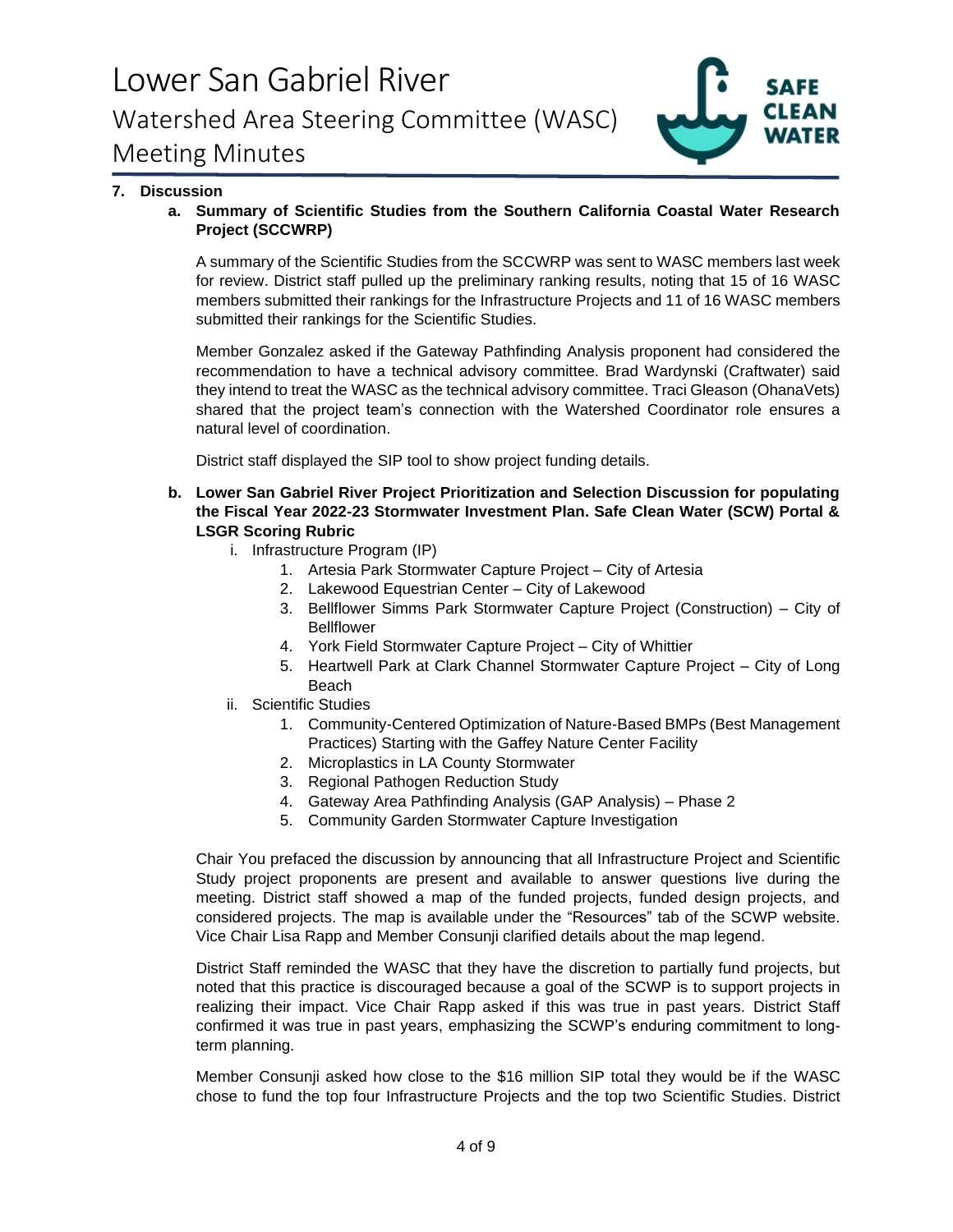

## **7. Discussion 7. Discussion**

**a. Summary of Scientific Studies from the Southern California Coastal Water Research a. Summary of Scientific Studies from the Southern California Coastal Water Research Project (SCCWRP) Project (SCCWRP)** 

A summary of the Scientific Studies from the SCCWRP was sent to WASC members last week A summary of the Scientific Studies from the SCCWRP was sent to WASC members last week<br>for review. District staff pulled up the preliminary ranking results, noting that 15 of 16 WASC members submitted their rankings for the Infrastructure Projects and 11 of 16 WASC members members submitted their rankings for the Infrastructure Projects and 11 of 16 WASC members submitted their rankings for the Scientific Studies.

submitted their rankings for the Scientific Studies.<br>Member Gonzalez asked if the Gateway Pathfinding Analysis proponent had considered the recommendation to have a technical advisory committee. Brad Wardynski (Craftwater) said<br>they intend to treat the WASC as the technical advisory committee. Traci Gleason (OhanaVets) they intend to treat the WASC as the technical advisory committee. Traci Gleason (OhanaVets) shared that the project team's connection with the Watershed Coordinator role ensures a shared that the project team's connection with the Watershed Coordinator role ensures a natural level of coordination. natural level of coordination.

District staff displayed the SIP tool to show project funding details. District staff displayed the SIP tool to show project funding details.

- **b. Lower San Gabriel River Project Prioritization and Selection Discussion for populating b. Lower San Gabriel River Project Prioritization and Selection Discussion for populating the Fiscal Year 2022-23 Stormwater Investment Plan. Safe Clean Water (SCW) Portal & the Fiscal Year 2022-23 Stormwater Investment Plan. Safe Clean Water (SCW) Portal & LSGR Scoring Rubric LSGR Scoring Rubric** 
	- i. Infrastructure Program (IP) i. Infrastructure Program (IP)
		- 1. Artesia Park Stormwater Capture Project City of Artesia 1. Artesia Park Stormwater Capture Project City of Artesia
		- 2. Lakewood Equestrian Center City of Lakewood 2. Lakewood Equestrian Center City of Lakewood
		- 3. Bellflower Simms Park Stormwater Capture Project (Construction) City of 3. Bellflower Simms Park Stormwater Capture Project (Construction) City of Bellflower Bellflower
		- 4. York Field Stormwater Capture Project City of Whittier 4. York Field Stormwater Capture Project City of Whittier
	- 5. Heartwell Park at Clark Channel Stormwater Capture Project City of Long 5. Heartwell Park at Clark Channel Stormwater Capture Project City of Long Beach ii. Scientific Studies Beach
	- ii. Scientific Studies
		- 1. Community-Centered Optimization of Nature-Based BMPs (Best Management 1. Community-Centered Optimization of Nature-Based BMPs (Best Management Practices) Starting with the Gaffey Nature Center Facility Practices) Starting with the Gaffey Nature Center Facility
		- 2. Microplastics in LA County Stormwater 2. Microplastics in LA County Stormwater
		- 3. Regional Pathogen Reduction Study 3. Regional Pathogen Reduction Study
		- 4. Gateway Area Pathfinding Analysis (GAP Analysis) Phase 2 4. Gateway Area Pathfinding Analysis (GAP Analysis) Phase 2
		- 5. Community Garden Stormwater Capture Investigation 5. Community Garden Stormwater Capture Investigation

Chair You prefaced the discussion by announcing that all Infrastructure Project and Scientific Study project proponents are present and available to answer questions live during the Chair You prefaced the discussion by announcing that all Infrastructure Project and Scientific<br>Study project proponents are present and available to answer questions live during the<br>meeting. District staff showed a map of considered projects. The map is available under the "Resources" tab of the SCWP website.<br>Vice Chair Lisa Rapp and Member Consunji clarified details about the map legend. Vice Chair Lisa Rapp and Member Consunji clarified details about the map legend.

District Staff reminded the WASC that they have the discretion to partially fund projects, but noted that this practice is discouraged because a goal of the SCWP is to support projects in realizing their impact. Vice Chair Rapp asked if this was true in past years. District Staff confirmed it was true in past years, emphasizing the SCWP's enduring commitment to longterm planning. term planning. District Staff reminded the WASC that they have the discretion to partially fund projects, but<br>noted that this practice is discouraged because a goal of the SCWP is to support projects in<br>realizing their impact. Vice Chair

Member Consunji asked how close to the \$16 million SIP total they would be if the WASC<br>chose to fund the top four Infrastructure Projects and the top two Scientific Studies. District chose to fund the top four Infrastructure Projects and the top two Scientific Studies. District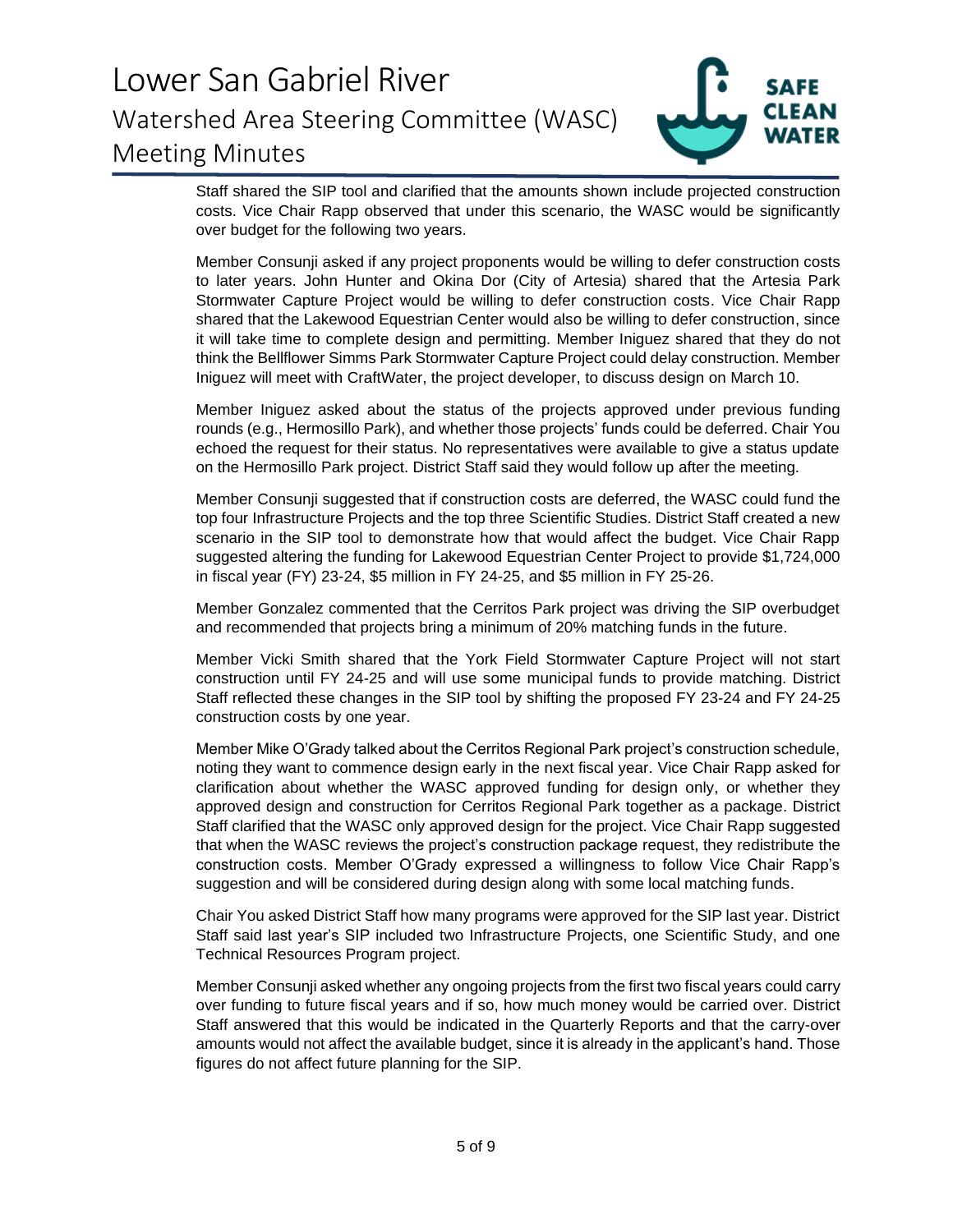

**Staff shared the SIP tool and clarified that the amounts shown include projected construction**  Staff shared the SIP tool and clarified that the amounts shown include projected construction costs. Vice Chair Rapp observed that under this scenario, the WASC would be significantly over budget for the following two years. **over budget for the following two years.** 

**Member Consunji asked if any project proponents would be willing to defer construction costs**  Member Consunji asked if any project proponents would be willing to defer construction costs **to later years. John Hunter and Okina Dor (City of Artesia) shared that the Artesia Park**  to later years. John Hunter and Okina Dor (City of Artesia) shared that the Artesia Park **Stormwater Capture Project would be willing to defer construction costs. Vice Chair Rapp shared that the Lakewood Equestrian Center would also be willing to defer construction, since it will take time to complete design and permitting. Member Iniguez shared that they do not think the Bellflower Simms Park Stormwater Capture Project could delay construction. Member Iniguez will meet with CraftWater, the project developer, to discuss design on March 10.**  Stormwater Capture Project would be willing to defer construction costs. Vice Chair Rapp<br>shared that the Lakewood Equestrian Center would also be willing to defer construction, since<br>it will take time to complete design an

**Member Iniguez asked about the status of the projects approved under previous funding rounds (e.g., Hermosillo Park), and whether those projects' funds could be deferred. Chair You echoed the request for their status. No representatives were available to give a status update on the Hermosillo Park project. District Staff said they would follow up after the meeting.**  Member Iniguez asked about the status of the projects approved under previous funding<br>rounds (e.g., Hermosillo Park), and whether those projects' funds could be deferred. Chair You<br>echoed the request for their status. No r

**Member Consunji suggested that if construction costs are deferred, the WASC could fund the**  Member Consunji suggested that if construction costs are deferred, the WASC could fund the **top four Infrastructure Projects and the top three Scientific Studies. District Staff created a new**  top four Infrastructure Projects and the top three Scientific Studies. District Staff created a new **scenario in the SIP tool to demonstrate how that would affect the budget. Vice Chair Rapp suggested altering the funding for Lakewood Equestrian Center Project to provide \$1,724,000 in fiscal year (FY) 23-24, \$5 million in FY 24-25, and \$5 million in FY 25-26.**  scenario in the SIP tool to demonstrate how that would affect the budget. Vice Chair Rapp<br>suggested altering the funding for Lakewood Equestrian Center Project to provide \$1,724,000<br>in fiscal year (FY) 23-24, \$5 million in

**Member Gonzalez commented that the Cerritos Park project was driving the SIP overbudget**  Member Gonzalez commented that the Cerritos Park project was driving the SIP overbudget **and recommended that projects bring a minimum of 20% matching funds in the future.**  and recommended that projects bring a minimum of 20% matching funds in the future.

Member Vicki Smith shared that the York Field Stormwater Capture Project will not start construction until FY 24-25 and will use some municipal funds to provide matching. District Staff reflected these changes in the SIP t **construction until FY 24-25 and will use some municipal funds to provide matching. District Staff reflected these changes in the SIP tool by shifting the proposed FY 23-24 and FY 24-25 construction costs by one year.** 

**Member Mike O'Grady talked about the Cerritos Regional Park project's construction schedule,**  Member Mike O'Grady talked about the Cerritos Regional Park project's construction schedule, **noting they want to commence design early in the next fiscal year. Vice Chair Rapp asked for**  noting they want to commence design early in the next fiscal year. Vice Chair Rapp asked for **clarification about whether the WASC approved funding for design only, or whether they approved design and construction for Cerritos Regional Park together as a package. District Staff clarified that the WASC only approved design for the project. Vice Chair Rapp suggested that when the WASC reviews the project's construction package request, they redistribute the**  clarification about whether the WASC approved funding for design only, or whether they<br>approved design and construction for Cerritos Regional Park together as a package. District<br>Staff clarified that the WASC only approved **suggestion and will be considered during design along with some local matching funds.**  suggestion and will be considered during design along with some local matching funds.

**Chair You asked District Staff how many programs were approved for the SIP last year. District**  Chair You asked District Staff how many programs were approved for the SIP last year. District **Staff said last year's SIP included two Infrastructure Projects, one Scientific Study, and one**  Staff said last year's SIP included two Infrastructure Projects, one Scientific Study, and one **Technical Resources Program project.**  Technical Resources Program project.

**Member Consunji asked whether any ongoing projects from the first two fiscal years could carry**  Member Consunji asked whether any ongoing projects from the first two fiscal years could carry **over funding to future fiscal years and if so, how much money would be carried over. District Staff answered that this would be indicated in the Quarterly Reports and that the carry-over amounts would not affect the available budget, since it is already in the applicant's hand. Those figures do not affect future planning for the SIP.**  over funding to future fiscal years and if so, how much money would be carried over. District<br>Staff answered that this would be indicated in the Quarterly Reports and that the carry-over<br>amounts would not affect the availa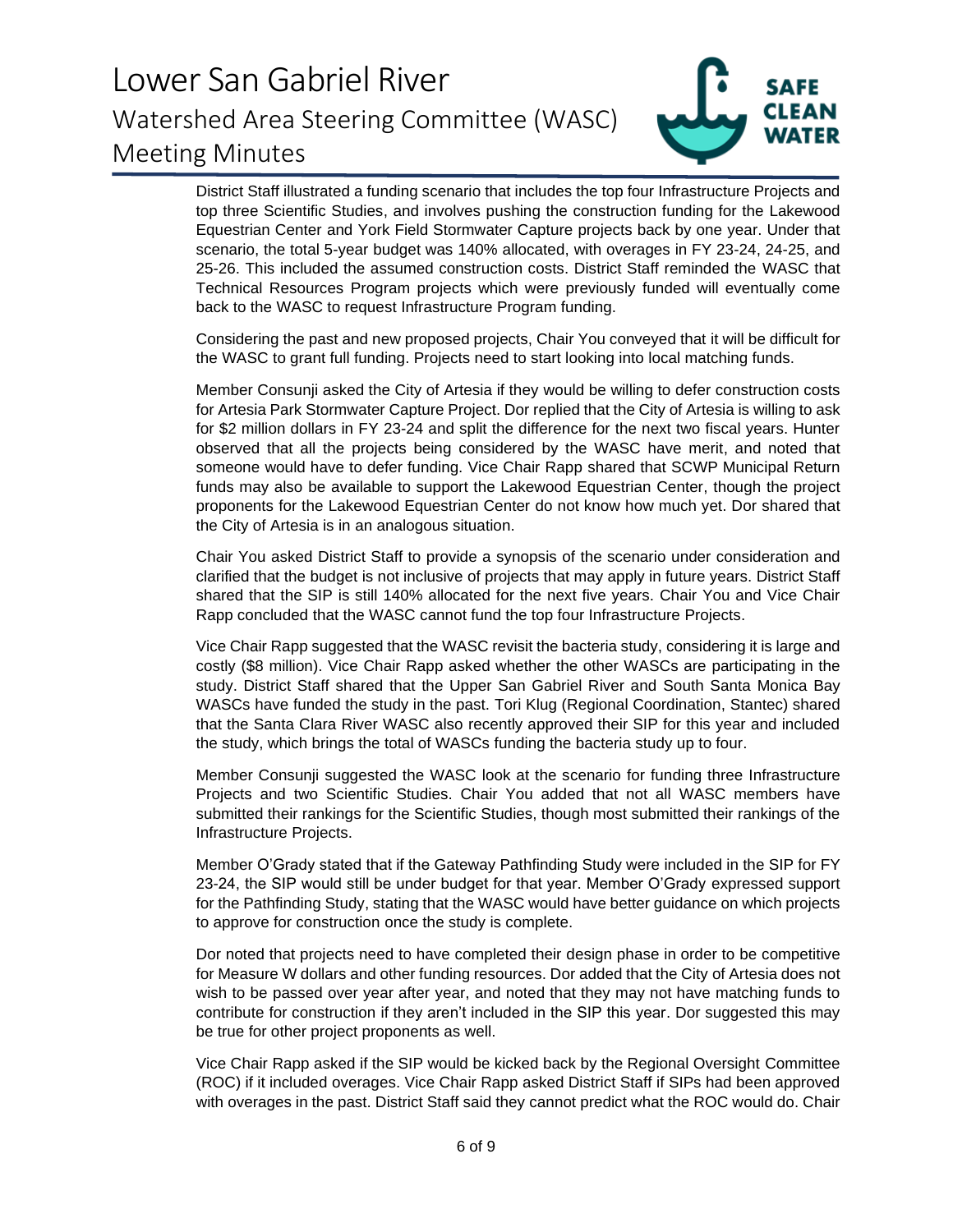

**District Staff illustrated a funding scenario that includes the top four Infrastructure Projects and**  District Staff illustrated a funding scenario that includes the top four Infrastructure Projects and **top three Scientific Studies, and involves pushing the construction funding for the Lakewood**  top three Scientific Studies, and involves pushing the construction funding for the Lakewood<br>Equestrian Center and York Field Stormwater Capture projects back by one year. Under that scenario, the total 5-year budget was 140% allocated, with overages in FY 23-24, 24-25, and<br>25-26. This included the assumed construction costs. District Staff reminded the WASC that **25-26. This included the assumed construction costs. District Staff reminded the WASC that Technical Resources Program projects which were previously funded will eventually come back to the WASC to request Infrastructure Program funding.** 

**Considering the past and new proposed projects, Chair You conveyed that it will be difficult for the WASC to grant full funding. Projects need to start looking into local matching funds.**  Technical Resources Program projects which were previously funded will eventually come<br>back to the WASC to request Infrastructure Program funding.<br>Considering the past and new proposed projects, Chair You conveyed that it

**Member Consunji asked the City of Artesia if they would be willing to defer construction costs for Artesia Park Stormwater Capture Project. Dor replied that the City of Artesia is willing to ask**  for Artesia Park Stormwater Capture Project. Dor replied that the City of Artesia is willing to ask<br>for \$2 million dollars in FY 23-24 and split the difference for the next two fiscal years. Hunter **observed that all the projects being considered by the WASC have merit, and noted that someone would have to defer funding. Vice Chair Rapp shared that SCWP Municipal Return**  observed that all the projects being considered by the WASC have merit, and noted that<br>someone would have to defer funding. Vice Chair Rapp shared that SCWP Municipal Return<br>funds may also be available to support the Lakew proponents for the Lakewood Equestrian Center do not know how much yet. Dor shared that<br>the City of Artesia is in an analogous situation. **the City of Artesia is in an analogous situation.** 

**Chair You asked District Staff to provide a synopsis of the scenario under consideration and clarified that the budget is not inclusive of projects that may apply in future years. District Staff shared that the SIP is still 140% allocated for the next five years. Chair You and Vice Chair Rapp concluded that the WASC cannot fund the top four Infrastructure Projects.**  Rapp concluded that the WASC cannot fund the top four Infrastructure Projects. Chair You asked District Staff to provide a synopsis of the scenario under consideration and<br>clarified that the budget is not inclusive of projects that may apply in future years. District Staff<br>shared that the SIP is stil

**Vice Chair Rapp suggested that the WASC revisit the bacteria study, considering it is large and**  Vice Chair Rapp suggested that the WASC revisit the bacteria study, considering it is large and costly (\$8 million). Vice Chair Rapp asked whether the other WASCs are participating in the<br>study. District Staff shared that the Upper San Gabriel River and South Santa Monica Bay<br>WASCs have funded the study in the past. **study. District Staff shared that the Upper San Gabriel River and South Santa Monica Bay WASCs have funded the study in the past. Tori Klug (Regional Coordination, Stantec) shared that the Santa Clara River WASC also recently approved their SIP for this year and included**  that the Santa Clara River WASC also recently approved their SIP for this year and included **the study, which brings the total of WASCs funding the bacteria study up to four.** 

**Member Consunji suggested the WASC look at the scenario for funding three Infrastructure Projects and two Scientific Studies. Chair You added that not all WASC members have submitted their rankings for the Scientific Studies, though most submitted their rankings of the Infrastructure Projects.**  the study, which brings the total of WASCs funding the bacteria study up to four.<br>Member Consunji suggested the WASC look at the scenario for funding three Infrastructure<br>Projects and two Scientific Studies. Chair You adde

Infrastructure Projects.<br>Member O'Grady stated that if the Gateway Pathfinding Study were included in the SIP for FY 23-24, the SIP would still be under budget for that year. Member O'Grady expressed support<br>for the Pathfinding Study, stating that the WASC would have better guidance on which projects<br>to approve for construction once the **for the Pathfinding Study, stating that the WASC would have better guidance on which projects to approve for construction once the study is complete.** 

**Dor noted that projects need to have completed their design phase in order to be competitive for Measure W dollars and other funding resources. Dor added that the City of Artesia does not wish to be passed over year after year, and noted that they may not have matching funds to contribute for construction if they aren't included in the SIP this year. Dor suggested this may be true for other project proponents as well.**  Dor noted that projects need to have completed their design phase in order to be competitive<br>for Measure W dollars and other funding resources. Dor added that the City of Artesia does not<br>wish to be passed over year after

**Vice Chair Rapp asked if the SIP would be kicked back by the Regional Oversight Committee (ROC) if it included overages. Vice Chair Rapp asked District Staff if SI Ps had been approved with overages in the past. District Staff said they cannot predict what the ROC would do. Chair**  with overages in the past. District Staff said they cannot predict what the ROC would do. Chair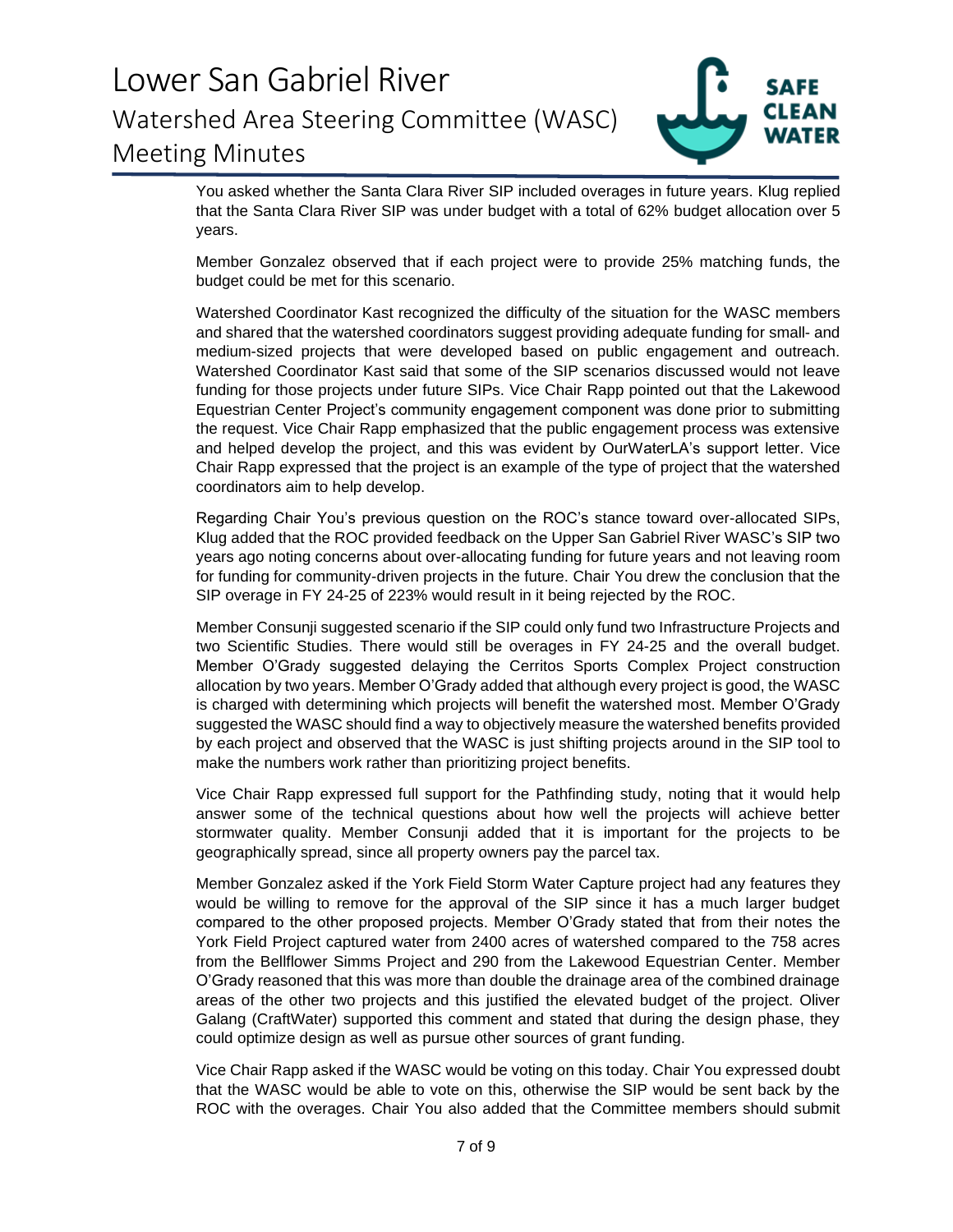

**You asked whether the Santa Clara River SIP included overages in future years. Klug replied that the Santa Clara River SIP was under budget with a total of 62% budget allocation over 5 years.**  You asked whether the Santa Clara River SIP included overages in future years. Klug replied<br>that the Santa Clara River SIP was under budget with a total of 62% budget allocation over 5<br>years.

**Member Gonzalez observed that if each project were to provide 25% matching funds, the**  Member Gonzalez observed that if each project were to provide 25% matching funds, the budget could be met for this scenario. **budget could be met for this scenario.** 

**Watershed Coordinator Kast recognized the difficulty of the situation for the WASC members and shared that the watershed coordinators suggest providing adequate funding for small- and medium-sized projects that were developed based on public engagement and outreach.**  Watershed Coordinator Kast said that some of the SIP scenarios discussed would not leave<br>funding for those projects under future SIPs. Vice Chair Rapp pointed out that the Lakewood **funding for those projects under future SIPs. Vice Chair Rapp pointed out that the Lakewood Equestrian Center Project's community engagement component was done prior to submitting**  Equestrian Center Project's community engagement component was done prior to submitting<br>the request. Vice Chair Rapp emphasized that the public engagement process was extensive and helped develop the project, and this was evident by OurWaterLA's support letter. Vice<br>Chair Rapp expressed that the project is an example of the type of project that the watershed<br>coordinators aim to help develop. **Chair Rapp expressed that the project is an example of the type of project that the watershed coordinators aim to help develop.**  Watershed Coordinator Kast recognized the difficulty of the situation for the WASC members<br>and shared that the watershed coordinators suggest providing adequate funding for small- and<br>medium-sized projects that were de

**Regarding Chair You's previous question on the ROC's stance toward over-allocated SIPs, Klug added that the ROC provided feedback on the Upper San Gabriel River WASC's SIP two years ago noting concerns about over-allocating funding for future years and not leaving room for funding for community-driven projects in the future. Chair You drew the conclusion that the SIP overage in FY 24-25 of 223% would result in it being rejected by the ROC.**  Regarding Chair You's previous question on the ROC's stance toward over-allocated SIPs,<br>Klug added that the ROC provided feedback on the Upper San Gabriel River WASC's SIP two<br>years ago noting concerns about over-allocatin

**Member Consunji suggested scenario if the SIP could only fund two Infrastructure Projects and**  Member Consunji suggested scenario if the SIP could only fund two Infrastructure Projects and<br>two Scientific Studies. There would still be overages in FY 24-25 and the overall budget. Member O'Grady suggested delaying the Cerritos Sports Complex Project construction<br>allocation by two years. Member O'Grady added that although every project is good, the WASC **allocation by two years. Member O'Grady added that although every project is good, the WASC is charged with determining which projects will benefit the watershed most. Member O'Grady**  is charged with determining which projects will benefit the watershed most. Member O'Grady **suggested the WASC should find a way to objectively measure the watershed benefits provided**  suggested the WASC should find a way to objectively measure the watershed benefits provided **by each project and observed that the WASC is just shifting projects around in the SIP tool to make the numbers work rather than prioritizing project benefits.** 

**Vice Chair Rapp expressed full support for the Pathfinding study, noting that it would help answer some of the technical questions about how well the projects will achieve better stormwater quality. Member Consunji added that it is important for the projects to be geographically spread, since all property owners pay the parcel tax.**  by each project and observed that the WASC is just shifting projects around in the SIP tool to<br>make the numbers work rather than prioritizing project benefits.<br>Vice Chair Rapp expressed full support for the Pathfinding stu

**Member Gonzalez asked if the York Field Storm Water Capture project had any features they would be willing to remove for the approval of the SIP since it has a much larger budget compared to the other proposed projects. Member O'Grady stated that from their notes the York Field Project captured water from 2400 acres of watershed compared to the 758 acres from the Bellflower Simms Project and 290 from the Lakewood Equestrian Center. Member O'Grady reasoned that this was more than double the drainage area of the combined drainage**  O'Grady reasoned that this was more than double the drainage area of the combined drainage<br>areas of the other two projects and this justified the elevated budget of the project. Oliver **Galang (CraftWater) supported this comment and stated that during the design phase, they could optimize design as well as pursue other sources of grant funding.**  Member Gonzalez asked if the York Field Storm Water Capture project had any features they<br>would be willing to remove for the approval of the SIP since it has a much larger budget<br>compared to the other proposed projects. Me

**Vice Chair Rapp asked if the WASC would be voting on this today. Chair You expressed doubt that the WASC would be able to vote on this, otherwise the SIP would be sent back by the ROC with the overages. Chair You also added that the Committee members should submit**  Galang (CraftWater) supported this comment and stated that during the design phase, they<br>could optimize design as well as pursue other sources of grant funding.<br>Vice Chair Rapp asked if the WASC would be voting on this tod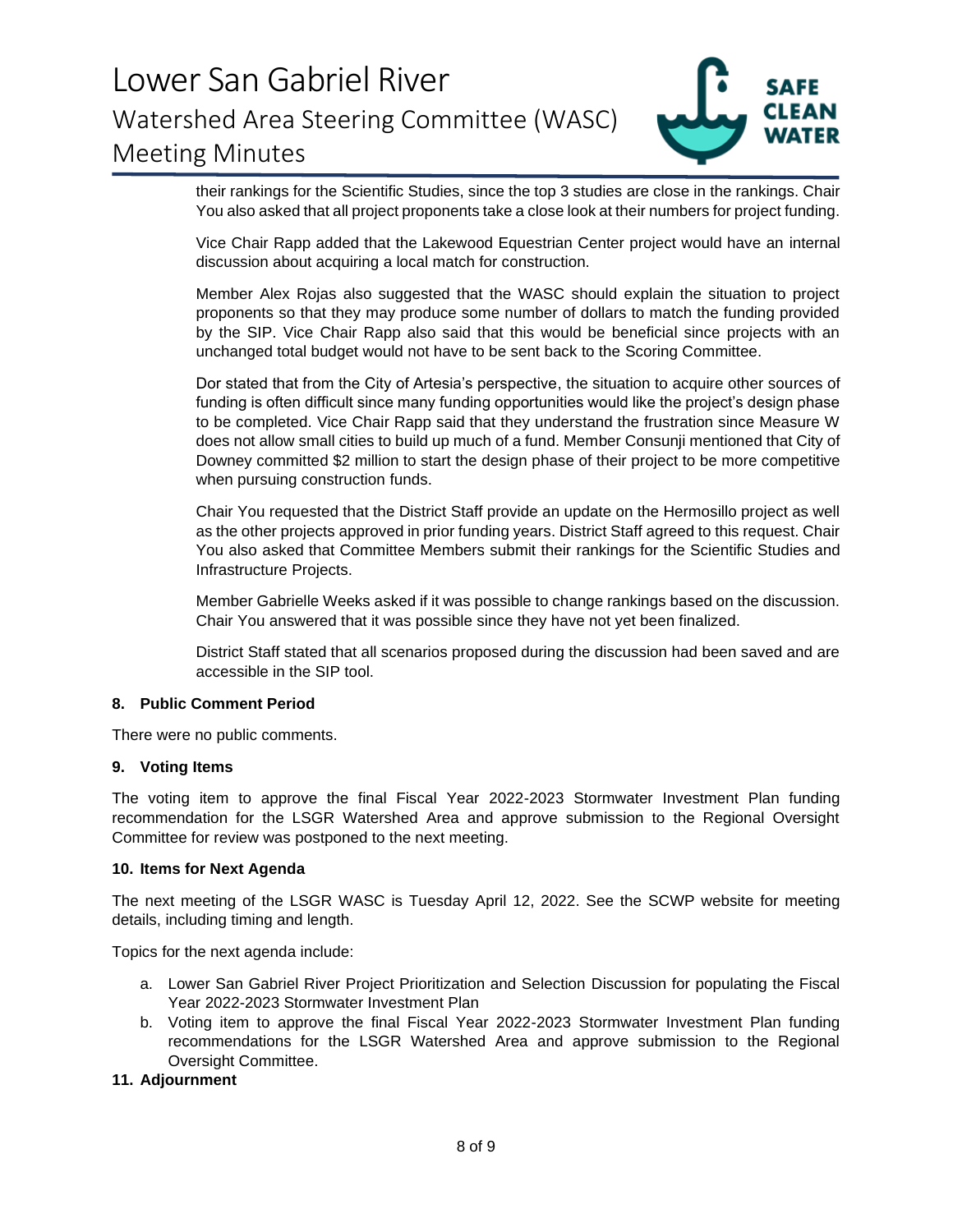

their rankings for the Scientific Studies, since the top 3 studies are close in the rankings. Chair their rankings for the Scientific Studies, since the top 3 studies are close in the rankings. Chair<br>You also asked that all project proponents take a close look at their numbers for project funding.

Vice Chair Rapp added that the Lakewood Equestrian Center project would have an internal discussion about acquiring a local match for construction. Vice Chair Rapp added that the Lakewood Equestrian Center project would have an internal<br>discussion about acquiring a local match for construction.<br>Member Alex Rojas also suggested that the WASC should explain the situatio

proponents so that they may produce some number of dollars to match the funding provided proponents so that they may produce some number of dollars to match the funding provided<br>by the SIP. Vice Chair Rapp also said that this would be beneficial since projects with an unchanged total budget would not have to be sent back to the Scoring Committee. unchanged total budget would not have to be sent back to the Scoring Committee.

Dor stated that from the City of Artesia's perspective, the situation to acquire other sources of Dor stated that from the City of Artesia's perspective, the situation to acquire other sources of<br>funding is often difficult since many funding opportunities would like the project's design phase to be completed. Vice Chair Rapp said that they understand the frustration since Measure W to be completed. Vice Chair Rapp said that they understand the frustration since Measure W<br>does not allow small cities to build up much of a fund. Member Consunji mentioned that City of Downey committed \$2 million to start the design phase of their project to be more competitive when pursuing construction funds. when pursuing construction funds.

Chair You requested that the District Staff provide an update on the Hermosillo project as well Chair You requested that the District Staff provide an update on the Hermosillo project as well as the other projects approved in prior funding years. District Staff agreed to this request. Chair<br>You also asked that Committee Members submit their rankings for the Scientific Studies and<br>Infrastructure Projects.<br>Member You also asked that Committee Members submit their rankings for the Scientific Studies and Infrastructure Projects.

Member Gabrielle Weeks asked if it was possible to change rankings based on the discussion. Chair You answered that it was possible since they have not yet been finalized.

District Staff stated that all scenarios proposed during the discussion had been saved and are District Staff stated that all scenarios proposed during the discussion had been saved and are accessible in the SIP tool. accessible in the SIP tool.

#### **8. Public Comment Period 8. Public Comment Period**

There were no public comments. There were no public comments.

### **9. Voting Items 9. Voting Items**

The voting item to approve the final Fiscal Year 2022-2023 Stormwater Investment Plan funding The voting item to approve the final Fiscal Year 2022-2023 Stormwater Investment Plan funding<br>recommendation for the LSGR Watershed Area and approve submission to the Regional Oversight Committee for review was postponed to the next meeting. Committee for review was postponed to the next meeting.

#### **10. Items for Next Agenda 10. Items for Next Agenda**

The next meeting of the LSGR WASC is Tuesday April 12, 2022. See the SCWP website for meeting<br>details, including timing and length.<br>Topics for the next agenda include: details, including timing and length.

Topics for the next agenda include:

- a. Lower San Gabriel River Project Prioritization and Selection Discussion for populating the Fiscal Year 2022-2023 Stormwater Investment Plan Year 2022-2023 Stormwater Investment Plan
- b. Voting item to approve the final Fiscal Year 2022-2023 Stormwater Investment Plan funding b. Voting item to approve the final Fiscal Year 2022-2023 Stormwater Investment Plan funding recommendations for the LSGR Watershed Area and approve submission to the Regional recommendations for the LSGR Watershed Area and approve submission to the Regional Oversight Committee. Oversight Committee.

### **11. Adjournment 11. Adjournment**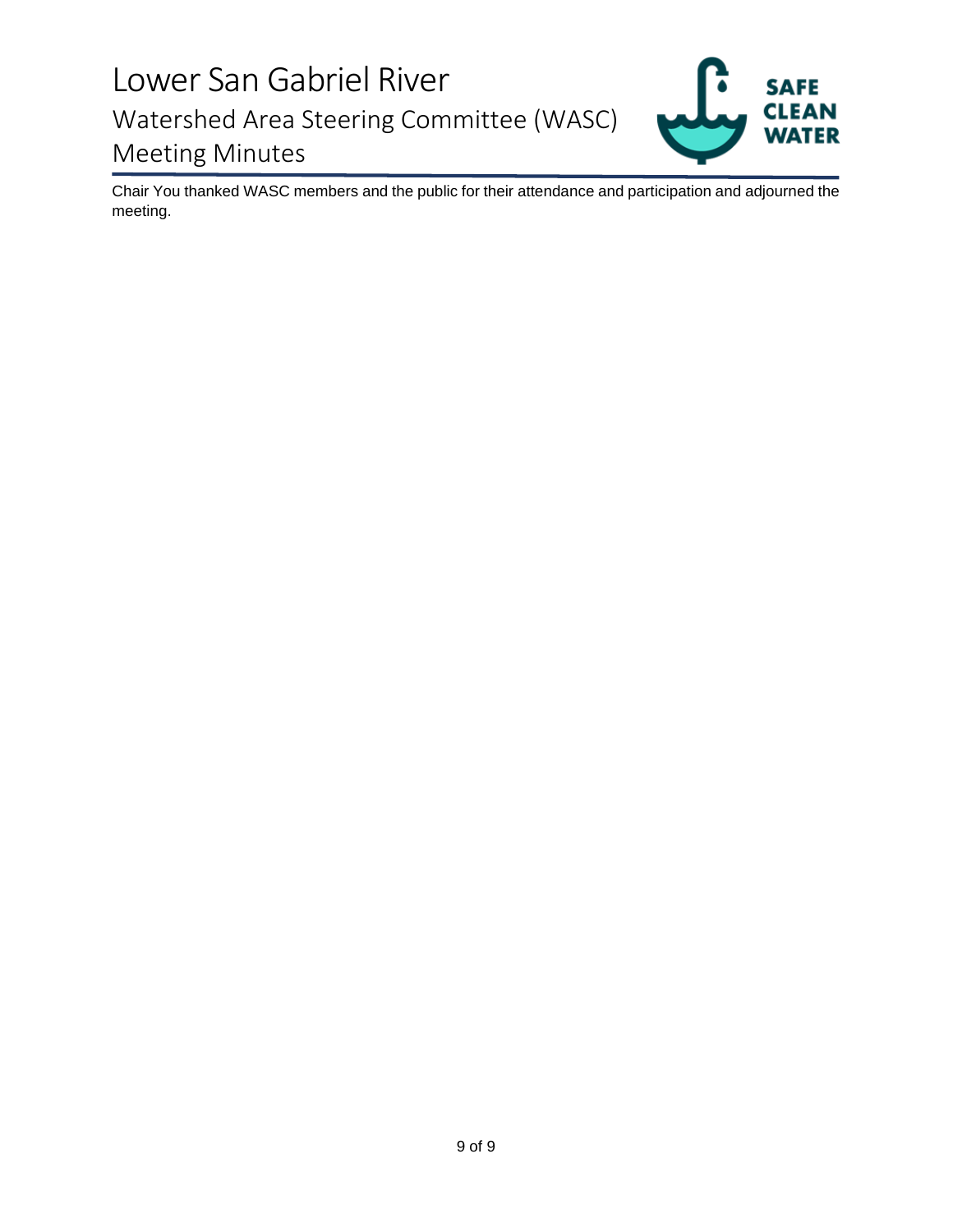

**Chair You thanked WASC members and the public for their attendance and participation and adjourned the**  Chair You thanked WASC members and the public for their attendance and participation and adjourned the meeting.**meeting.**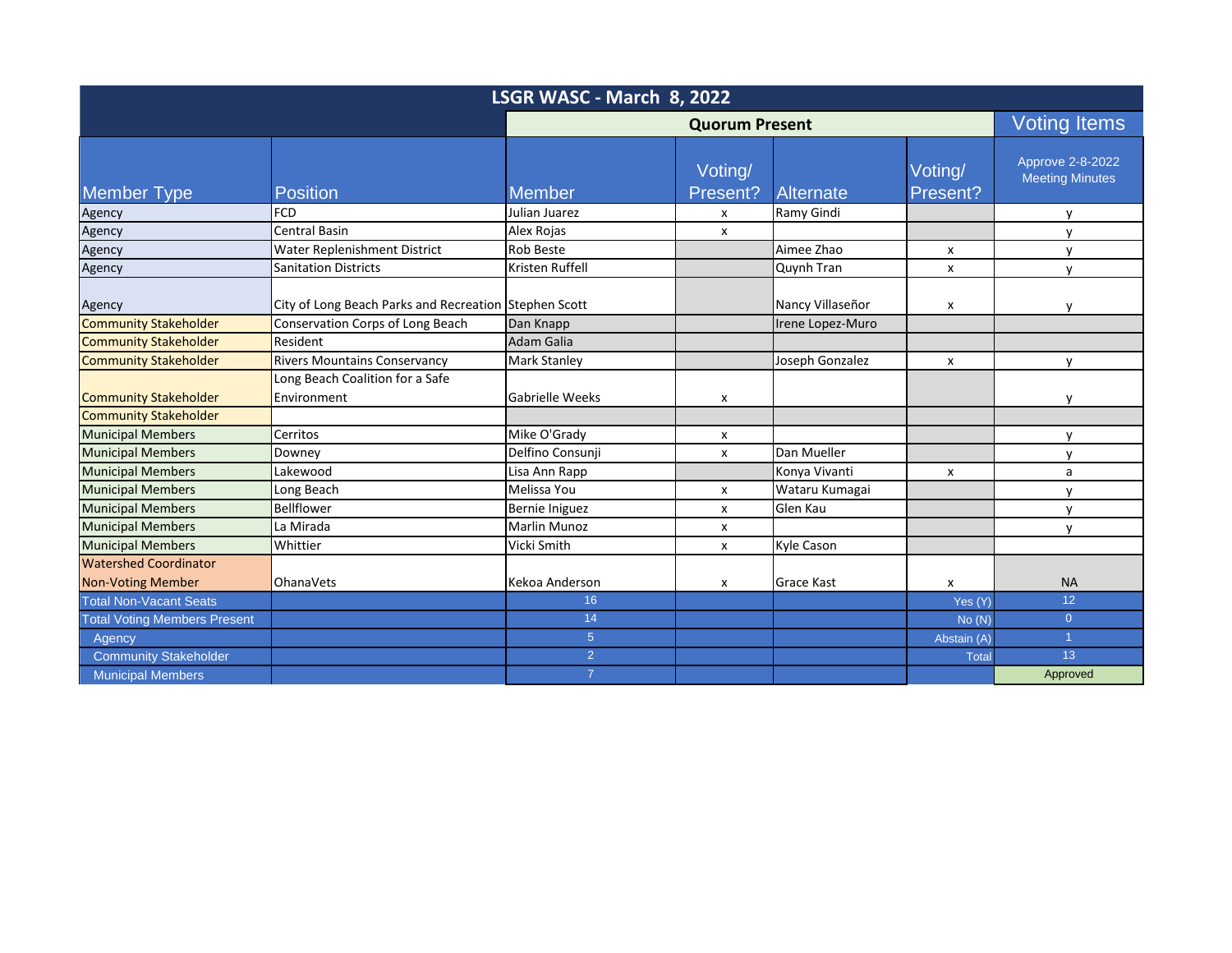| LSGR WASC - March 8, 2022           |                                                       |                        |                           |                   |                     |                                            |  |
|-------------------------------------|-------------------------------------------------------|------------------------|---------------------------|-------------------|---------------------|--------------------------------------------|--|
|                                     |                                                       | <b>Quorum Present</b>  |                           |                   | <b>Voting Items</b> |                                            |  |
| <b>Member Type</b>                  | <b>Position</b>                                       | <b>Member</b>          | Voting/<br>Present?       | <b>Alternate</b>  | Voting/<br>Present? | Approve 2-8-2022<br><b>Meeting Minutes</b> |  |
| Agency                              | <b>FCD</b>                                            | Julian Juarez          | X                         | Ramy Gindi        |                     | $\mathsf{v}$                               |  |
| Agency                              | <b>Central Basin</b>                                  | Alex Rojas             | $\boldsymbol{\mathsf{x}}$ |                   |                     | $\mathsf{v}$                               |  |
| Agency                              | Water Replenishment District                          | <b>Rob Beste</b>       |                           | Aimee Zhao        | X                   | $\mathsf{v}$                               |  |
| Agency                              | <b>Sanitation Districts</b>                           | Kristen Ruffell        |                           | Quynh Tran        | X                   | $\mathsf{v}$                               |  |
| Agency                              | City of Long Beach Parks and Recreation Stephen Scott |                        |                           | Nancy Villaseñor  | x                   | $\mathsf{v}$                               |  |
| <b>Community Stakeholder</b>        | Conservation Corps of Long Beach                      | Dan Knapp              |                           | Irene Lopez-Muro  |                     |                                            |  |
| <b>Community Stakeholder</b>        | Resident                                              | <b>Adam Galia</b>      |                           |                   |                     |                                            |  |
| <b>Community Stakeholder</b>        | <b>Rivers Mountains Conservancy</b>                   | <b>Mark Stanley</b>    |                           | Joseph Gonzalez   | x                   | $\mathsf{v}$                               |  |
|                                     | Long Beach Coalition for a Safe                       |                        |                           |                   |                     |                                            |  |
| <b>Community Stakeholder</b>        | Environment                                           | <b>Gabrielle Weeks</b> | $\boldsymbol{\mathsf{x}}$ |                   |                     | v                                          |  |
| <b>Community Stakeholder</b>        |                                                       |                        |                           |                   |                     |                                            |  |
| <b>Municipal Members</b>            | Cerritos                                              | Mike O'Grady           | X                         |                   |                     | $\mathsf{v}$                               |  |
| <b>Municipal Members</b>            | Downey                                                | Delfino Consunji       | X                         | Dan Mueller       |                     | $\mathsf{v}$                               |  |
| <b>Municipal Members</b>            | Lakewood                                              | Lisa Ann Rapp          |                           | Konya Vivanti     | x                   | a                                          |  |
| <b>Municipal Members</b>            | Long Beach                                            | Melissa You            | $\pmb{\chi}$              | Wataru Kumagai    |                     | $\mathsf{v}$                               |  |
| <b>Municipal Members</b>            | Bellflower                                            | Bernie Iniguez         | $\pmb{\chi}$              | Glen Kau          |                     | $\mathsf{v}$                               |  |
| <b>Municipal Members</b>            | La Mirada                                             | <b>Marlin Munoz</b>    | X                         |                   |                     | $\mathsf{v}$                               |  |
| <b>Municipal Members</b>            | Whittier                                              | Vicki Smith            | $\pmb{\chi}$              | Kyle Cason        |                     |                                            |  |
| <b>Watershed Coordinator</b>        |                                                       |                        |                           |                   |                     |                                            |  |
| <b>Non-Voting Member</b>            | <b>OhanaVets</b>                                      | Kekoa Anderson         | x                         | <b>Grace Kast</b> | x                   | <b>NA</b>                                  |  |
| <b>Total Non-Vacant Seats</b>       |                                                       | 16                     |                           |                   | Yes (Y)             | 12                                         |  |
| <b>Total Voting Members Present</b> |                                                       | 14                     |                           |                   | No(N)               | $\overline{0}$                             |  |
| Agency                              |                                                       | 5 <sup>5</sup>         |                           |                   | Abstain (A)         | $\blacktriangleleft$                       |  |
| <b>Community Stakeholder</b>        |                                                       | 2 <sup>1</sup>         |                           |                   | Total               | 13                                         |  |
| <b>Municipal Members</b>            |                                                       | $\overline{7}$         |                           |                   |                     | Approved                                   |  |